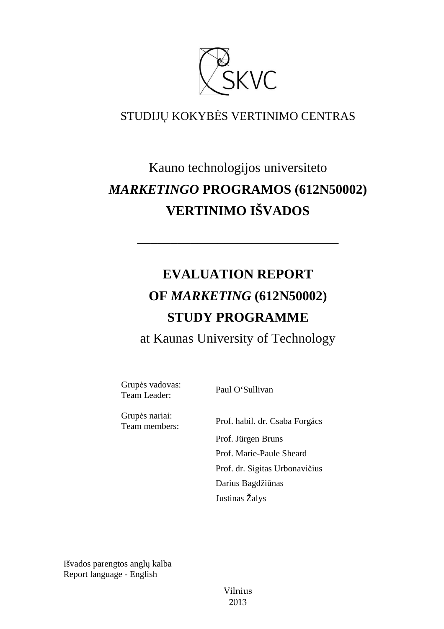

### STUDIJŲ KOKYBĖS VERTINIMO CENTRAS

## Kauno technologijos universiteto *MARKETINGO* **PROGRAMOS (612N50002) VERTINIMO IŠVADOS**

# **EVALUATION REPORT OF** *MARKETING* **(612N50002) STUDY PROGRAMME**

––––––––––––––––––––––––––––––

at Kaunas University of Technology

Grupės vadovas: Grupes vadovas:<br>Team Leader: Paul O'Sullivan

Grupės nariai:

Team members: Prof. habil. dr. Csaba Forgács Prof. Jürgen Bruns Prof. Marie-Paule Sheard Prof. dr. Sigitas Urbonavičius Darius Bagdžiūnas Justinas Žalys

Išvados parengtos anglų kalba Report language - English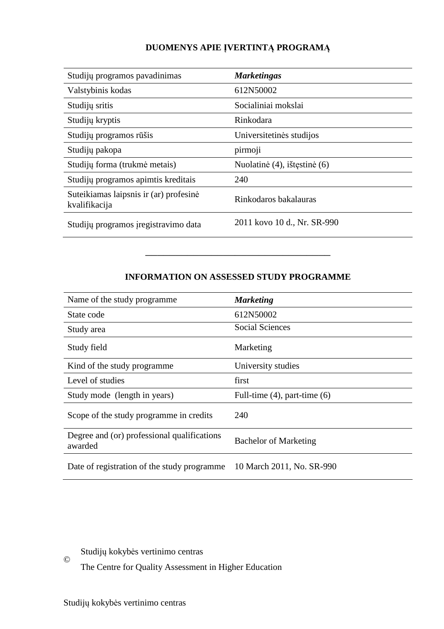#### **DUOMENYS APIE ĮVERTINTĄ PROGRAMĄ**

| Studijų programos pavadinimas                           | <b>Marketingas</b>           |
|---------------------------------------------------------|------------------------------|
| Valstybinis kodas                                       | 612N50002                    |
| Studijų sritis                                          | Socialiniai mokslai          |
| Studijų kryptis                                         | Rinkodara                    |
| Studijų programos rūšis                                 | Universitetinės studijos     |
| Studijų pakopa                                          | pirmoji                      |
| Studijų forma (trukmė metais)                           | Nuolatinė (4), ištęstinė (6) |
| Studijų programos apimtis kreditais                     | 240                          |
| Suteikiamas laipsnis ir (ar) profesinė<br>kvalifikacija | Rinkodaros bakalauras        |
| Studijų programos įregistravimo data                    | 2011 kovo 10 d., Nr. SR-990  |

#### **INFORMATION ON ASSESSED STUDY PROGRAMME**

–––––––––––––––––––––––––––––––

| Name of the study programme.                           | <b>Marketing</b>                  |
|--------------------------------------------------------|-----------------------------------|
| State code                                             | 612N50002                         |
| Study area                                             | <b>Social Sciences</b>            |
| Study field                                            | Marketing                         |
| Kind of the study programme                            | University studies                |
| Level of studies                                       | first                             |
| Study mode (length in years)                           | Full-time $(4)$ , part-time $(6)$ |
| Scope of the study programme in credits                | 240                               |
| Degree and (or) professional qualifications<br>awarded | <b>Bachelor of Marketing</b>      |
| Date of registration of the study programme            | 10 March 2011, No. SR-990         |

Studijų kokybės vertinimo centras ©

The Centre for Quality Assessment in Higher Education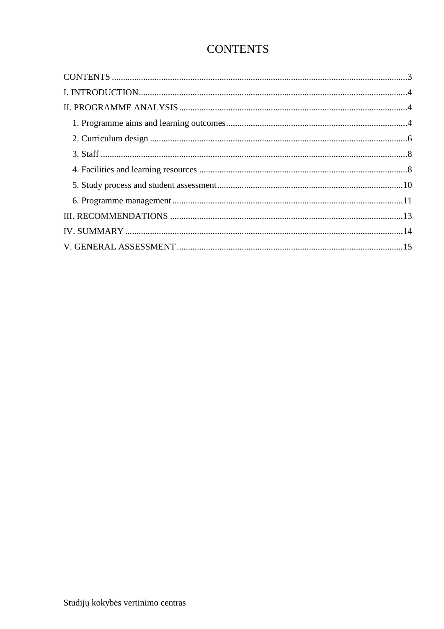## **CONTENTS**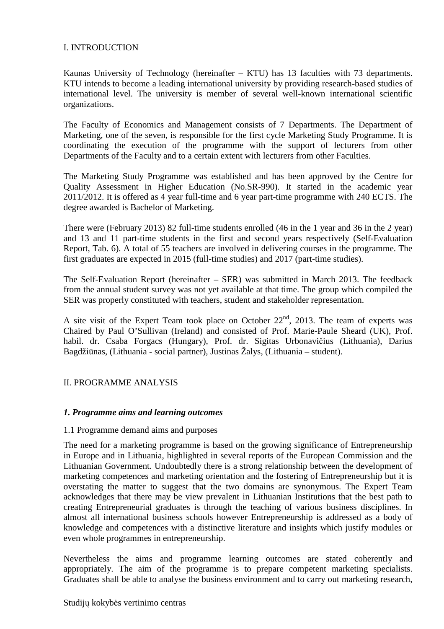#### I. INTRODUCTION

Kaunas University of Technology (hereinafter – KTU) has 13 faculties with 73 departments. KTU intends to become a leading international university by providing research-based studies of international level. The university is member of several well-known international scientific organizations.

The Faculty of Economics and Management consists of 7 Departments. The Department of Marketing, one of the seven, is responsible for the first cycle Marketing Study Programme. It is coordinating the execution of the programme with the support of lecturers from other Departments of the Faculty and to a certain extent with lecturers from other Faculties.

The Marketing Study Programme was established and has been approved by the Centre for Quality Assessment in Higher Education (No.SR-990). It started in the academic year 2011/2012. It is offered as 4 year full-time and 6 year part-time programme with 240 ECTS. The degree awarded is Bachelor of Marketing.

There were (February 2013) 82 full-time students enrolled (46 in the 1 year and 36 in the 2 year) and 13 and 11 part-time students in the first and second years respectively (Self-Evaluation Report, Tab. 6). A total of 55 teachers are involved in delivering courses in the programme. The first graduates are expected in 2015 (full-time studies) and 2017 (part-time studies).

The Self-Evaluation Report (hereinafter – SER) was submitted in March 2013. The feedback from the annual student survey was not yet available at that time. The group which compiled the SER was properly constituted with teachers, student and stakeholder representation.

A site visit of the Expert Team took place on October  $22<sup>nd</sup>$ , 2013. The team of experts was Chaired by Paul O'Sullivan (Ireland) and consisted of Prof. Marie-Paule Sheard (UK), Prof. habil. dr. Csaba Forgacs (Hungary), Prof. dr. Sigitas Urbonavičius (Lithuania), Darius Bagdžiūnas, (Lithuania - social partner), Justinas Žalys, (Lithuania – student).

#### II. PROGRAMME ANALYSIS

#### *1. Programme aims and learning outcomes*

#### 1.1 Programme demand aims and purposes

The need for a marketing programme is based on the growing significance of Entrepreneurship in Europe and in Lithuania, highlighted in several reports of the European Commission and the Lithuanian Government. Undoubtedly there is a strong relationship between the development of marketing competences and marketing orientation and the fostering of Entrepreneurship but it is overstating the matter to suggest that the two domains are synonymous. The Expert Team acknowledges that there may be view prevalent in Lithuanian Institutions that the best path to creating Entrepreneurial graduates is through the teaching of various business disciplines. In almost all international business schools however Entrepreneurship is addressed as a body of knowledge and competences with a distinctive literature and insights which justify modules or even whole programmes in entrepreneurship.

Nevertheless the aims and programme learning outcomes are stated coherently and appropriately. The aim of the programme is to prepare competent marketing specialists. Graduates shall be able to analyse the business environment and to carry out marketing research,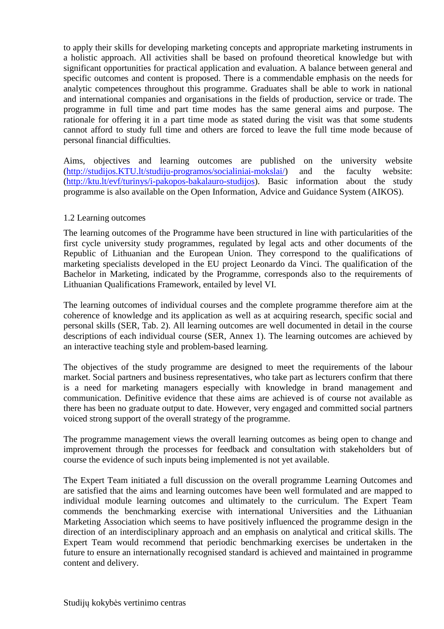to apply their skills for developing marketing concepts and appropriate marketing instruments in a holistic approach. All activities shall be based on profound theoretical knowledge but with significant opportunities for practical application and evaluation. A balance between general and specific outcomes and content is proposed. There is a commendable emphasis on the needs for analytic competences throughout this programme. Graduates shall be able to work in national and international companies and organisations in the fields of production, service or trade. The programme in full time and part time modes has the same general aims and purpose. The rationale for offering it in a part time mode as stated during the visit was that some students cannot afford to study full time and others are forced to leave the full time mode because of personal financial difficulties.

Aims, objectives and learning outcomes are published on the university website (http://studijos.KTU.lt/studiju-programos/socialiniai-mokslai/) and the faculty website: (http://ktu.lt/evf/turinys/i-pakopos-bakalauro-studijos). Basic information about the study programme is also available on the Open Information, Advice and Guidance System (AIKOS).

#### 1.2 Learning outcomes

The learning outcomes of the Programme have been structured in line with particularities of the first cycle university study programmes, regulated by legal acts and other documents of the Republic of Lithuanian and the European Union. They correspond to the qualifications of marketing specialists developed in the EU project Leonardo da Vinci. The qualification of the Bachelor in Marketing, indicated by the Programme, corresponds also to the requirements of Lithuanian Qualifications Framework, entailed by level VI.

The learning outcomes of individual courses and the complete programme therefore aim at the coherence of knowledge and its application as well as at acquiring research, specific social and personal skills (SER, Tab. 2). All learning outcomes are well documented in detail in the course descriptions of each individual course (SER, Annex 1). The learning outcomes are achieved by an interactive teaching style and problem-based learning.

The objectives of the study programme are designed to meet the requirements of the labour market. Social partners and business representatives, who take part as lecturers confirm that there is a need for marketing managers especially with knowledge in brand management and communication. Definitive evidence that these aims are achieved is of course not available as there has been no graduate output to date. However, very engaged and committed social partners voiced strong support of the overall strategy of the programme.

The programme management views the overall learning outcomes as being open to change and improvement through the processes for feedback and consultation with stakeholders but of course the evidence of such inputs being implemented is not yet available.

The Expert Team initiated a full discussion on the overall programme Learning Outcomes and are satisfied that the aims and learning outcomes have been well formulated and are mapped to individual module learning outcomes and ultimately to the curriculum. The Expert Team commends the benchmarking exercise with international Universities and the Lithuanian Marketing Association which seems to have positively influenced the programme design in the direction of an interdisciplinary approach and an emphasis on analytical and critical skills. The Expert Team would recommend that periodic benchmarking exercises be undertaken in the future to ensure an internationally recognised standard is achieved and maintained in programme content and delivery.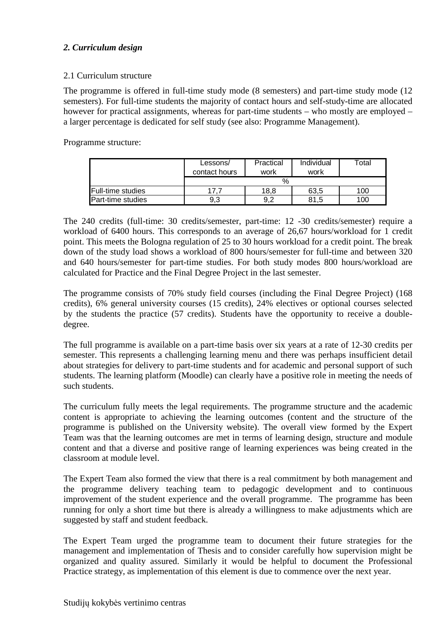#### *2. Curriculum design*

#### 2.1 Curriculum structure

The programme is offered in full-time study mode (8 semesters) and part-time study mode (12 semesters). For full-time students the majority of contact hours and self-study-time are allocated however for practical assignments, whereas for part-time students – who mostly are employed – a larger percentage is dedicated for self study (see also: Programme Management).

Programme structure:

|                   | Lessons/      | Practical | Individual | Total |
|-------------------|---------------|-----------|------------|-------|
|                   | contact hours | work      | work       |       |
|                   |               | $\%$      |            |       |
| Full-time studies |               | 18,8      | 63,5       | 100   |
| Part-time studies | 9.3           | 9,2       | 81,5       | 100   |

The 240 credits (full-time: 30 credits/semester, part-time: 12 -30 credits/semester) require a workload of 6400 hours. This corresponds to an average of 26,67 hours/workload for 1 credit point. This meets the Bologna regulation of 25 to 30 hours workload for a credit point. The break down of the study load shows a workload of 800 hours/semester for full-time and between 320 and 640 hours/semester for part-time studies. For both study modes 800 hours/workload are calculated for Practice and the Final Degree Project in the last semester.

The programme consists of 70% study field courses (including the Final Degree Project) (168 credits), 6% general university courses (15 credits), 24% electives or optional courses selected by the students the practice (57 credits). Students have the opportunity to receive a doubledegree.

The full programme is available on a part-time basis over six years at a rate of 12-30 credits per semester. This represents a challenging learning menu and there was perhaps insufficient detail about strategies for delivery to part-time students and for academic and personal support of such students. The learning platform (Moodle) can clearly have a positive role in meeting the needs of such students.

The curriculum fully meets the legal requirements. The programme structure and the academic content is appropriate to achieving the learning outcomes (content and the structure of the programme is published on the University website). The overall view formed by the Expert Team was that the learning outcomes are met in terms of learning design, structure and module content and that a diverse and positive range of learning experiences was being created in the classroom at module level.

The Expert Team also formed the view that there is a real commitment by both management and the programme delivery teaching team to pedagogic development and to continuous improvement of the student experience and the overall programme. The programme has been running for only a short time but there is already a willingness to make adjustments which are suggested by staff and student feedback.

The Expert Team urged the programme team to document their future strategies for the management and implementation of Thesis and to consider carefully how supervision might be organized and quality assured. Similarly it would be helpful to document the Professional Practice strategy, as implementation of this element is due to commence over the next year.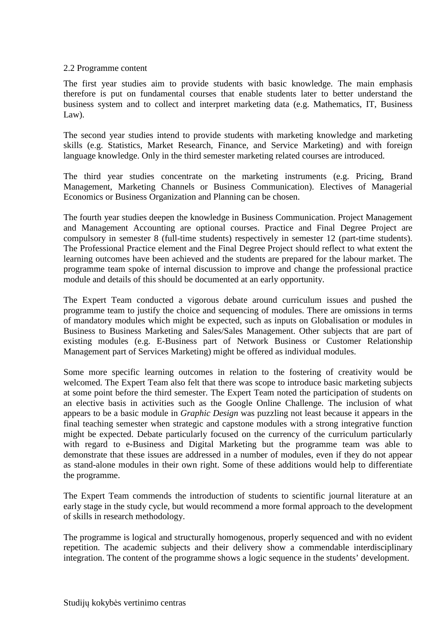#### 2.2 Programme content

The first year studies aim to provide students with basic knowledge. The main emphasis therefore is put on fundamental courses that enable students later to better understand the business system and to collect and interpret marketing data (e.g. Mathematics, IT, Business Law).

The second year studies intend to provide students with marketing knowledge and marketing skills (e.g. Statistics, Market Research, Finance, and Service Marketing) and with foreign language knowledge. Only in the third semester marketing related courses are introduced.

The third year studies concentrate on the marketing instruments (e.g. Pricing, Brand Management, Marketing Channels or Business Communication). Electives of Managerial Economics or Business Organization and Planning can be chosen.

The fourth year studies deepen the knowledge in Business Communication. Project Management and Management Accounting are optional courses. Practice and Final Degree Project are compulsory in semester 8 (full-time students) respectively in semester 12 (part-time students). The Professional Practice element and the Final Degree Project should reflect to what extent the learning outcomes have been achieved and the students are prepared for the labour market. The programme team spoke of internal discussion to improve and change the professional practice module and details of this should be documented at an early opportunity.

The Expert Team conducted a vigorous debate around curriculum issues and pushed the programme team to justify the choice and sequencing of modules. There are omissions in terms of mandatory modules which might be expected, such as inputs on Globalisation or modules in Business to Business Marketing and Sales/Sales Management. Other subjects that are part of existing modules (e.g. E-Business part of Network Business or Customer Relationship Management part of Services Marketing) might be offered as individual modules.

Some more specific learning outcomes in relation to the fostering of creativity would be welcomed. The Expert Team also felt that there was scope to introduce basic marketing subjects at some point before the third semester. The Expert Team noted the participation of students on an elective basis in activities such as the Google Online Challenge. The inclusion of what appears to be a basic module in *Graphic Design* was puzzling not least because it appears in the final teaching semester when strategic and capstone modules with a strong integrative function might be expected. Debate particularly focused on the currency of the curriculum particularly with regard to e-Business and Digital Marketing but the programme team was able to demonstrate that these issues are addressed in a number of modules, even if they do not appear as stand-alone modules in their own right. Some of these additions would help to differentiate the programme.

The Expert Team commends the introduction of students to scientific journal literature at an early stage in the study cycle, but would recommend a more formal approach to the development of skills in research methodology.

The programme is logical and structurally homogenous, properly sequenced and with no evident repetition. The academic subjects and their delivery show a commendable interdisciplinary integration. The content of the programme shows a logic sequence in the students' development.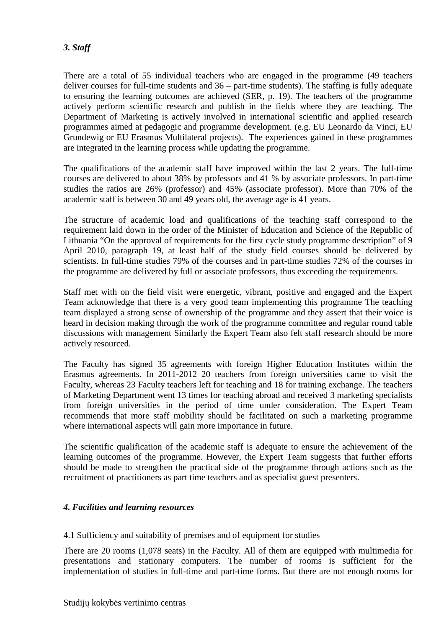#### *3. Staff*

There are a total of 55 individual teachers who are engaged in the programme (49 teachers deliver courses for full-time students and 36 – part-time students). The staffing is fully adequate to ensuring the learning outcomes are achieved (SER, p. 19). The teachers of the programme actively perform scientific research and publish in the fields where they are teaching. The Department of Marketing is actively involved in international scientific and applied research programmes aimed at pedagogic and programme development. (e.g. EU Leonardo da Vinci, EU Grundewig or EU Erasmus Multilateral projects). The experiences gained in these programmes are integrated in the learning process while updating the programme.

The qualifications of the academic staff have improved within the last 2 years. The full-time courses are delivered to about 38% by professors and 41 % by associate professors. In part-time studies the ratios are 26% (professor) and 45% (associate professor). More than 70% of the academic staff is between 30 and 49 years old, the average age is 41 years.

The structure of academic load and qualifications of the teaching staff correspond to the requirement laid down in the order of the Minister of Education and Science of the Republic of Lithuania "On the approval of requirements for the first cycle study programme description" of 9 April 2010, paragraph 19, at least half of the study field courses should be delivered by scientists. In full-time studies 79% of the courses and in part-time studies 72% of the courses in the programme are delivered by full or associate professors, thus exceeding the requirements.

Staff met with on the field visit were energetic, vibrant, positive and engaged and the Expert Team acknowledge that there is a very good team implementing this programme The teaching team displayed a strong sense of ownership of the programme and they assert that their voice is heard in decision making through the work of the programme committee and regular round table discussions with management Similarly the Expert Team also felt staff research should be more actively resourced.

The Faculty has signed 35 agreements with foreign Higher Education Institutes within the Erasmus agreements. In 2011-2012 20 teachers from foreign universities came to visit the Faculty, whereas 23 Faculty teachers left for teaching and 18 for training exchange. The teachers of Marketing Department went 13 times for teaching abroad and received 3 marketing specialists from foreign universities in the period of time under consideration. The Expert Team recommends that more staff mobility should be facilitated on such a marketing programme where international aspects will gain more importance in future.

The scientific qualification of the academic staff is adequate to ensure the achievement of the learning outcomes of the programme. However, the Expert Team suggests that further efforts should be made to strengthen the practical side of the programme through actions such as the recruitment of practitioners as part time teachers and as specialist guest presenters.

#### *4. Facilities and learning resources*

4.1 Sufficiency and suitability of premises and of equipment for studies

There are 20 rooms (1,078 seats) in the Faculty. All of them are equipped with multimedia for presentations and stationary computers. The number of rooms is sufficient for the implementation of studies in full-time and part-time forms. But there are not enough rooms for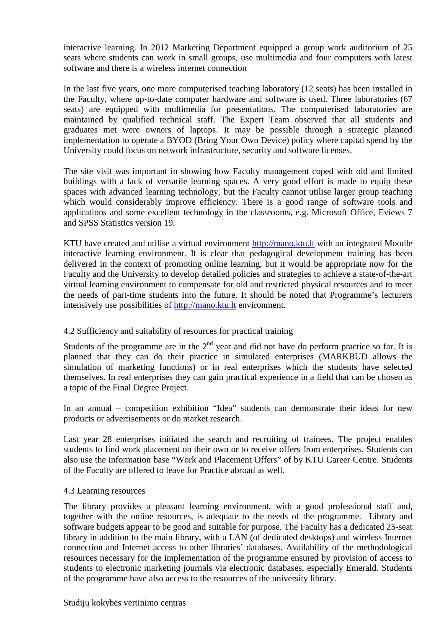interactive learning. In 2012 Marketing Department equipped a group work auditorium of 25 seats where students can work in small groups, use multimedia and four computers with latest software and there is a wireless internet connection

In the last five years, one more computerised teaching laboratory (12 seats) has been installed in the Faculty, where up-to-date computer hardware and software is used. Three laboratories (67 seats) are equipped with multimedia for presentations. The computerised laboratories are maintained by qualified technical staff. The Expert Team observed that all students and graduates met were owners of laptops. It may be possible through a strategic planned implementation to operate a BYOD (Bring Your Own Device) policy where capital spend by the University could focus on network infrastructure, security and software licenses.

The site visit was important in showing how Faculty management coped with old and limited buildings with a lack of versatile learning spaces. A very good effort is made to equip these spaces with advanced learning technology, but the Faculty cannot utilise larger group teaching which would considerably improve efficiency. There is a good range of software tools and applications and some excellent technology in the classrooms, e.g. Microsoft Office, Eviews 7 and SPSS Statistics version 19.

KTU have created and utilise a virtual environment http://mano.ktu.lt with an integrated Moodle interactive learning environment. It is clear that pedagogical development training has been delivered in the context of promoting online learning, but it would be appropriate now for the Faculty and the University to develop detailed policies and strategies to achieve a state-of-the-art virtual learning environment to compensate for old and restricted physical resources and to meet the needs of part-time students into the future. It should be noted that Programme's lecturers intensively use possibilities of http://mano.ktu.lt environment.

#### 4.2 Sufficiency and suitability of resources for practical training

Students of the programme are in the  $2<sup>nd</sup>$  year and did not have do perform practice so far. It is planned that they can do their practice in simulated enterprises (MARKBUD allows the simulation of marketing functions) or in real enterprises which the students have selected themselves. In real enterprises they can gain practical experience in a field that can be chosen as a topic of the Final Degree Project.

In an annual – competition exhibition "Idea" students can demonstrate their ideas for new products or advertisements or do market research.

Last year 28 enterprises initiated the search and recruiting of trainees. The project enables students to find work placement on their own or to receive offers from enterprises. Students can also use the information base "Work and Placement Offers" of by KTU Career Centre. Students of the Faculty are offered to leave for Practice abroad as well.

#### 4.3 Learning resources

The library provides a pleasant learning environment, with a good professional staff and, together with the online resources, is adequate to the needs of the programme. Library and software budgets appear to be good and suitable for purpose. The Faculty has a dedicated 25-seat library in addition to the main library, with a LAN (of dedicated desktops) and wireless Internet connection and Internet access to other libraries' databases. Availability of the methodological resources necessary for the implementation of the programme ensured by provision of access to students to electronic marketing journals via electronic databases, especially Emerald. Students of the programme have also access to the resources of the university library.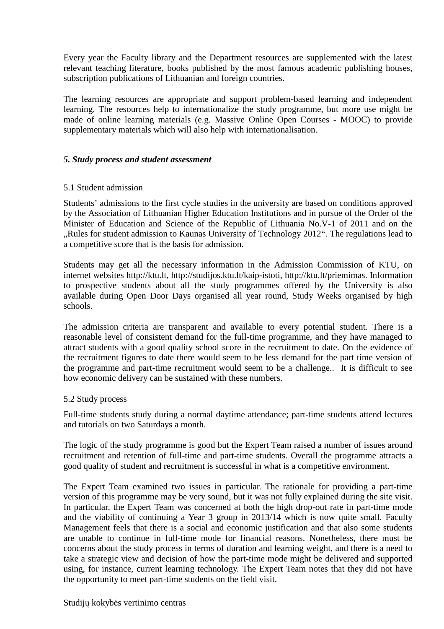Every year the Faculty library and the Department resources are supplemented with the latest relevant teaching literature, books published by the most famous academic publishing houses, subscription publications of Lithuanian and foreign countries.

The learning resources are appropriate and support problem-based learning and independent learning. The resources help to internationalize the study programme, but more use might be made of online learning materials (e.g. Massive Online Open Courses - MOOC) to provide supplementary materials which will also help with internationalisation.

#### *5. Study process and student assessment*

#### 5.1 Student admission

Students' admissions to the first cycle studies in the university are based on conditions approved by the Association of Lithuanian Higher Education Institutions and in pursue of the Order of the Minister of Education and Science of the Republic of Lithuania No.V-1 of 2011 and on the Rules for student admission to Kaunas University of Technology 2012". The regulations lead to a competitive score that is the basis for admission.

Students may get all the necessary information in the Admission Commission of KTU, on internet websites http://ktu.lt, http://studijos.ktu.lt/kaip-istoti, http://ktu.lt/priemimas. Information to prospective students about all the study programmes offered by the University is also available during Open Door Days organised all year round, Study Weeks organised by high schools.

The admission criteria are transparent and available to every potential student. There is a reasonable level of consistent demand for the full-time programme, and they have managed to attract students with a good quality school score in the recruitment to date. On the evidence of the recruitment figures to date there would seem to be less demand for the part time version of the programme and part-time recruitment would seem to be a challenge.. It is difficult to see how economic delivery can be sustained with these numbers.

#### 5.2 Study process

Full-time students study during a normal daytime attendance; part-time students attend lectures and tutorials on two Saturdays a month.

The logic of the study programme is good but the Expert Team raised a number of issues around recruitment and retention of full-time and part-time students. Overall the programme attracts a good quality of student and recruitment is successful in what is a competitive environment.

The Expert Team examined two issues in particular. The rationale for providing a part-time version of this programme may be very sound, but it was not fully explained during the site visit. In particular, the Expert Team was concerned at both the high drop-out rate in part-time mode and the viability of continuing a Year 3 group in 2013/14 which is now quite small. Faculty Management feels that there is a social and economic justification and that also some students are unable to continue in full-time mode for financial reasons. Nonetheless, there must be concerns about the study process in terms of duration and learning weight, and there is a need to take a strategic view and decision of how the part-time mode might be delivered and supported using, for instance, current learning technology. The Expert Team notes that they did not have the opportunity to meet part-time students on the field visit.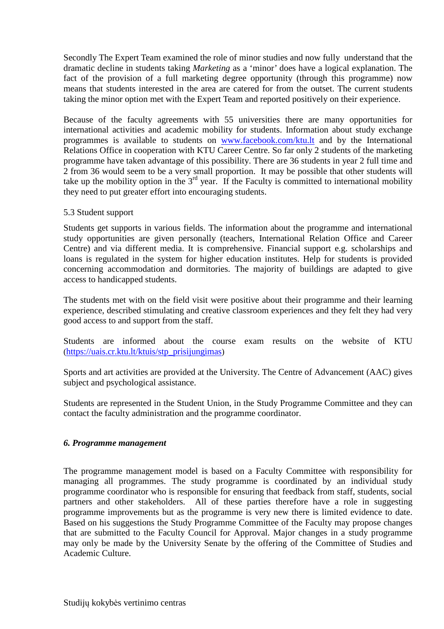Secondly The Expert Team examined the role of minor studies and now fully understand that the dramatic decline in students taking *Marketing* as a 'minor' does have a logical explanation. The fact of the provision of a full marketing degree opportunity (through this programme) now means that students interested in the area are catered for from the outset. The current students taking the minor option met with the Expert Team and reported positively on their experience.

Because of the faculty agreements with 55 universities there are many opportunities for international activities and academic mobility for students. Information about study exchange programmes is available to students on www.facebook.com/ktu.lt and by the International Relations Office in cooperation with KTU Career Centre. So far only 2 students of the marketing programme have taken advantage of this possibility. There are 36 students in year 2 full time and 2 from 36 would seem to be a very small proportion. It may be possible that other students will take up the mobility option in the  $3<sup>rd</sup>$  year. If the Faculty is committed to international mobility they need to put greater effort into encouraging students.

#### 5.3 Student support

Students get supports in various fields. The information about the programme and international study opportunities are given personally (teachers, International Relation Office and Career Centre) and via different media. It is comprehensive. Financial support e.g. scholarships and loans is regulated in the system for higher education institutes. Help for students is provided concerning accommodation and dormitories. The majority of buildings are adapted to give access to handicapped students.

The students met with on the field visit were positive about their programme and their learning experience, described stimulating and creative classroom experiences and they felt they had very good access to and support from the staff.

Students are informed about the course exam results on the website of KTU (https://uais.cr.ktu.lt/ktuis/stp\_prisijungimas)

Sports and art activities are provided at the University. The Centre of Advancement (AAC) gives subject and psychological assistance.

Students are represented in the Student Union, in the Study Programme Committee and they can contact the faculty administration and the programme coordinator.

#### *6. Programme management*

The programme management model is based on a Faculty Committee with responsibility for managing all programmes. The study programme is coordinated by an individual study programme coordinator who is responsible for ensuring that feedback from staff, students, social partners and other stakeholders. All of these parties therefore have a role in suggesting programme improvements but as the programme is very new there is limited evidence to date. Based on his suggestions the Study Programme Committee of the Faculty may propose changes that are submitted to the Faculty Council for Approval. Major changes in a study programme may only be made by the University Senate by the offering of the Committee of Studies and Academic Culture.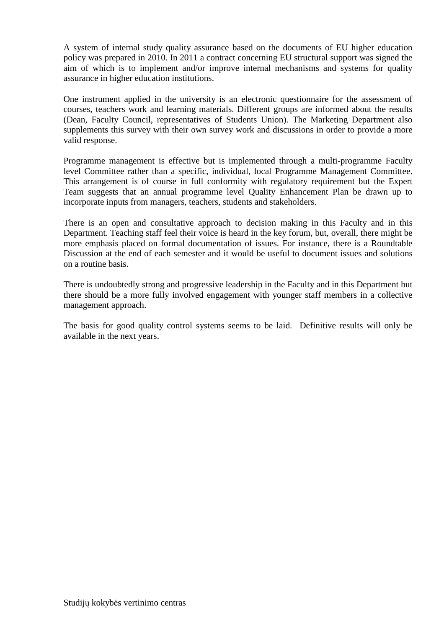A system of internal study quality assurance based on the documents of EU higher education policy was prepared in 2010. In 2011 a contract concerning EU structural support was signed the aim of which is to implement and/or improve internal mechanisms and systems for quality assurance in higher education institutions.

One instrument applied in the university is an electronic questionnaire for the assessment of courses, teachers work and learning materials. Different groups are informed about the results (Dean, Faculty Council, representatives of Students Union). The Marketing Department also supplements this survey with their own survey work and discussions in order to provide a more valid response.

Programme management is effective but is implemented through a multi-programme Faculty level Committee rather than a specific, individual, local Programme Management Committee. This arrangement is of course in full conformity with regulatory requirement but the Expert Team suggests that an annual programme level Quality Enhancement Plan be drawn up to incorporate inputs from managers, teachers, students and stakeholders.

There is an open and consultative approach to decision making in this Faculty and in this Department. Teaching staff feel their voice is heard in the key forum, but, overall, there might be more emphasis placed on formal documentation of issues. For instance, there is a Roundtable Discussion at the end of each semester and it would be useful to document issues and solutions on a routine basis.

There is undoubtedly strong and progressive leadership in the Faculty and in this Department but there should be a more fully involved engagement with younger staff members in a collective management approach.

The basis for good quality control systems seems to be laid. Definitive results will only be available in the next years.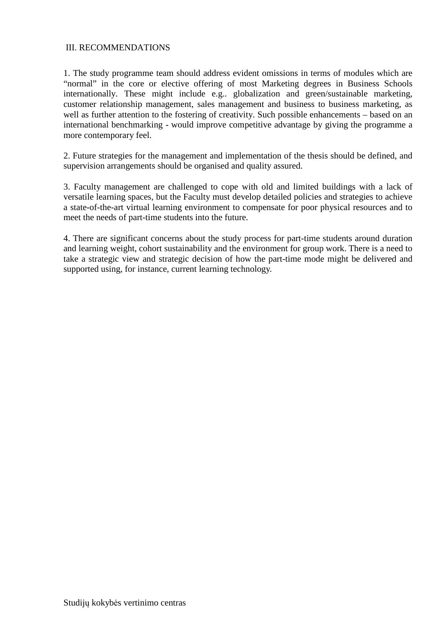#### III. RECOMMENDATIONS

1. The study programme team should address evident omissions in terms of modules which are "normal" in the core or elective offering of most Marketing degrees in Business Schools internationally. These might include e.g.. globalization and green/sustainable marketing, customer relationship management, sales management and business to business marketing, as well as further attention to the fostering of creativity. Such possible enhancements – based on an international benchmarking - would improve competitive advantage by giving the programme a more contemporary feel.

2. Future strategies for the management and implementation of the thesis should be defined, and supervision arrangements should be organised and quality assured.

3. Faculty management are challenged to cope with old and limited buildings with a lack of versatile learning spaces, but the Faculty must develop detailed policies and strategies to achieve a state-of-the-art virtual learning environment to compensate for poor physical resources and to meet the needs of part-time students into the future.

4. There are significant concerns about the study process for part-time students around duration and learning weight, cohort sustainability and the environment for group work. There is a need to take a strategic view and strategic decision of how the part-time mode might be delivered and supported using, for instance, current learning technology.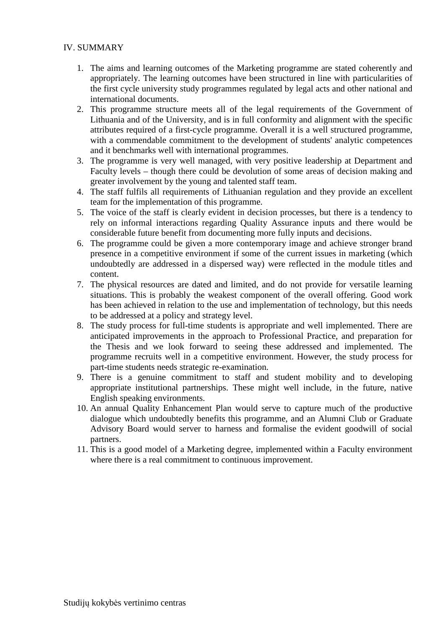#### IV. SUMMARY

- 1. The aims and learning outcomes of the Marketing programme are stated coherently and appropriately. The learning outcomes have been structured in line with particularities of the first cycle university study programmes regulated by legal acts and other national and international documents.
- 2. This programme structure meets all of the legal requirements of the Government of Lithuania and of the University, and is in full conformity and alignment with the specific attributes required of a first-cycle programme. Overall it is a well structured programme, with a commendable commitment to the development of students' analytic competences and it benchmarks well with international programmes.
- 3. The programme is very well managed, with very positive leadership at Department and Faculty levels – though there could be devolution of some areas of decision making and greater involvement by the young and talented staff team.
- 4. The staff fulfils all requirements of Lithuanian regulation and they provide an excellent team for the implementation of this programme.
- 5. The voice of the staff is clearly evident in decision processes, but there is a tendency to rely on informal interactions regarding Quality Assurance inputs and there would be considerable future benefit from documenting more fully inputs and decisions.
- 6. The programme could be given a more contemporary image and achieve stronger brand presence in a competitive environment if some of the current issues in marketing (which undoubtedly are addressed in a dispersed way) were reflected in the module titles and content.
- 7. The physical resources are dated and limited, and do not provide for versatile learning situations. This is probably the weakest component of the overall offering. Good work has been achieved in relation to the use and implementation of technology, but this needs to be addressed at a policy and strategy level.
- 8. The study process for full-time students is appropriate and well implemented. There are anticipated improvements in the approach to Professional Practice, and preparation for the Thesis and we look forward to seeing these addressed and implemented. The programme recruits well in a competitive environment. However, the study process for part-time students needs strategic re-examination.
- 9. There is a genuine commitment to staff and student mobility and to developing appropriate institutional partnerships. These might well include, in the future, native English speaking environments.
- 10. An annual Quality Enhancement Plan would serve to capture much of the productive dialogue which undoubtedly benefits this programme, and an Alumni Club or Graduate Advisory Board would server to harness and formalise the evident goodwill of social partners.
- 11. This is a good model of a Marketing degree, implemented within a Faculty environment where there is a real commitment to continuous improvement.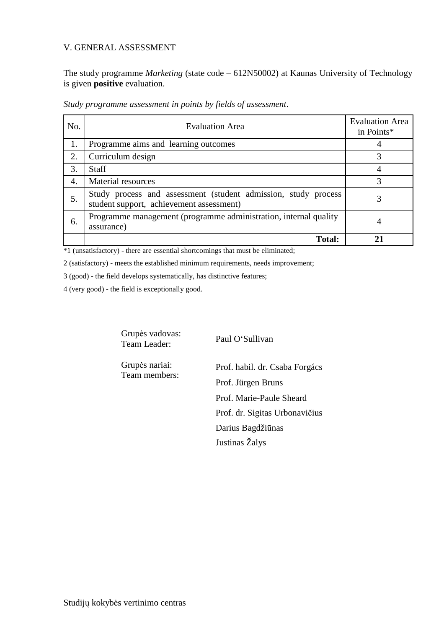#### V. GENERAL ASSESSMENT

The study programme *Marketing* (state code – 612N50002) at Kaunas University of Technology is given **positive** evaluation.

| No. | <b>Evaluation Area</b>                                                                                     | <b>Evaluation Area</b><br>in Points* |
|-----|------------------------------------------------------------------------------------------------------------|--------------------------------------|
| 1.  | Programme aims and learning outcomes                                                                       |                                      |
| 2.  | Curriculum design                                                                                          |                                      |
| 3.  | <b>Staff</b>                                                                                               |                                      |
| 4.  | Material resources                                                                                         | 3                                    |
| 5.  | Study process and assessment (student admission, study process<br>student support, achievement assessment) | 3                                    |
| 6.  | Programme management (programme administration, internal quality<br>assurance)                             |                                      |
|     | <b>Total:</b>                                                                                              |                                      |

*Study programme assessment in points by fields of assessment*.

\*1 (unsatisfactory) - there are essential shortcomings that must be eliminated;

2 (satisfactory) - meets the established minimum requirements, needs improvement;

3 (good) - the field develops systematically, has distinctive features;

4 (very good) - the field is exceptionally good.

Grupės vadovas: Team Leader: Paul O'Sullivan

Team members:

Grupės nariai: Prof. habil. dr. Csaba Forgács Prof. Jürgen Bruns Prof. Marie-Paule Sheard Prof. dr. Sigitas Urbonavičius Darius Bagdžiūnas Justinas Žalys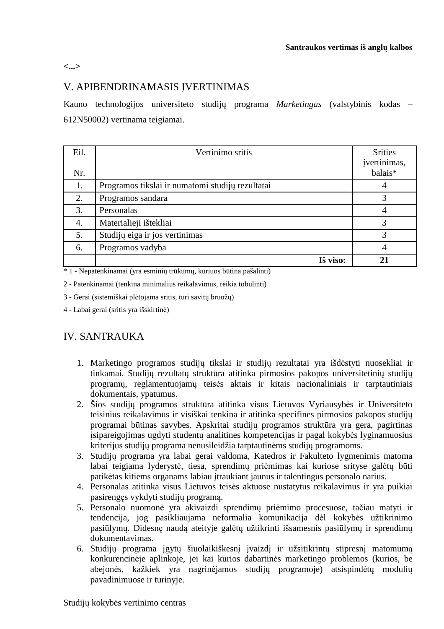**<...>**

#### V. APIBENDRINAMASIS ĮVERTINIMAS

Kauno technologijos universiteto studijų programa *Marketingas* (valstybinis kodas – 612N50002) vertinama teigiamai.

| Eil.<br>Nr. | Vertinimo sritis                                 | <b>Srities</b><br>įvertinimas,<br>balais* |
|-------------|--------------------------------------------------|-------------------------------------------|
| 1.          | Programos tikslai ir numatomi studijų rezultatai |                                           |
| 2.          | Programos sandara                                | 3                                         |
| 3.          | Personalas                                       |                                           |
| 4.          | Materialieji ištekliai                           | 3                                         |
| 5.          | Studijų eiga ir jos vertinimas                   | 3                                         |
| 6.          | Programos vadyba                                 |                                           |
|             | Iš viso:                                         | 21                                        |

\* 1 - Nepatenkinamai (yra esminių trūkumų, kuriuos būtina pašalinti)

2 - Patenkinamai (tenkina minimalius reikalavimus, reikia tobulinti)

3 - Gerai (sistemiškai plėtojama sritis, turi savitų bruožų)

4 - Labai gerai (sritis yra išskirtinė)

#### IV. SANTRAUKA

- 1. Marketingo programos studijų tikslai ir studijų rezultatai yra išdėstyti nuosekliai ir tinkamai. Studijų rezultatų struktūra atitinka pirmosios pakopos universitetinių studijų programų, reglamentuojamų teisės aktais ir kitais nacionaliniais ir tarptautiniais dokumentais, ypatumus.
- 2. Šios studijų programos struktūra atitinka visus Lietuvos Vyriausybės ir Universiteto teisinius reikalavimus ir visiškai tenkina ir atitinka specifines pirmosios pakopos studijų programai būtinas savybes. Apskritai studijų programos struktūra yra gera, pagirtinas įsipareigojimas ugdyti studentų analitines kompetencijas ir pagal kokybės lyginamuosius kriterijus studijų programa nenusileidžia tarptautinėms studijų programoms.
- 3. Studijų programa yra labai gerai valdoma, Katedros ir Fakulteto lygmenimis matoma labai teigiama lyderystė, tiesa, sprendimų priėmimas kai kuriose srityse galėtų būti patikėtas kitiems organams labiau įtraukiant jaunus ir talentingus personalo narius.
- 4. Personalas atitinka visus Lietuvos teisės aktuose nustatytus reikalavimus ir yra puikiai pasirengęs vykdyti studijų programą.
- 5. Personalo nuomonė yra akivaizdi sprendimų priėmimo procesuose, tačiau matyti ir tendencija, jog pasikliaujama neformalia komunikacija dėl kokybės užtikrinimo pasiūlymų. Didesnę naudą ateityje galėtų užtikrinti išsamesnis pasiūlymų ir sprendimų dokumentavimas.
- 6. Studijų programa įgytų šiuolaikiškesnį įvaizdį ir užsitikrintų stipresnį matomumą konkurencinėje aplinkoje, jei kai kurios dabartinės marketingo problemos (kurios, be abejonės, kažkiek yra nagrinėjamos studijų programoje) atsispindėtų modulių pavadinimuose ir turinyje.